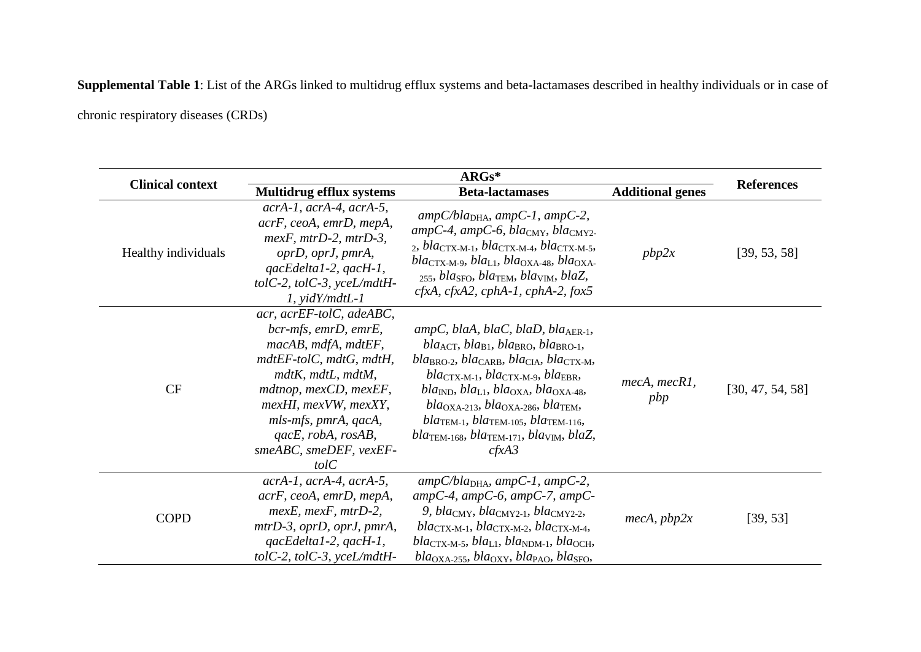**Supplemental Table 1**: List of the ARGs linked to multidrug efflux systems and beta-lactamases described in healthy individuals or in case of

chronic respiratory diseases (CRDs)

| <b>Clinical context</b> | <b>Multidrug efflux systems</b>                                                                                                                                                                                                                             | <b>Beta-lactamases</b>                                                                                                                                                                                                                                                                                                                                                                                                                                                                                                                                                                                            | <b>Additional genes</b> | <b>References</b> |
|-------------------------|-------------------------------------------------------------------------------------------------------------------------------------------------------------------------------------------------------------------------------------------------------------|-------------------------------------------------------------------------------------------------------------------------------------------------------------------------------------------------------------------------------------------------------------------------------------------------------------------------------------------------------------------------------------------------------------------------------------------------------------------------------------------------------------------------------------------------------------------------------------------------------------------|-------------------------|-------------------|
| Healthy individuals     | $acrA-I, acrA-4, acrA-5,$<br>acrF, ceoA, emrD, mepA,<br>$mexF, mtrD-2, mtrD-3,$<br>oprD, oprJ, pmrA,<br>qacEdelta1-2, qacH-1,<br>tolC-2, tolC-3, yceL/mdtH-<br>$1, \text{yid}Y\}/mdt$ .                                                                     | $ampC/blaDHA$ , ampC-1, ampC-2,<br>$ampC-4$ , ampC-6, bla <sub>CMY</sub> , bla <sub>CMY2</sub> .<br>$_2$ , blactx-M-1, blactx-M-4, blactx-M-5,<br>$bla_{\text{CTX-M-9}}$ , $bla_{\text{L1}}$ , $bla_{\text{OXA-48}}$ , $bla_{\text{OXA-48}}$<br>$_{255}$ , bla <sub>SFO</sub> , bla <sub>TEM</sub> , bla <sub>VIM</sub> , blaZ,<br>$cfxA$ , $cfxA2$ , $cphA-1$ , $cphA-2$ , $fox5$                                                                                                                                                                                                                                | pbp2x                   | [39, 53, 58]      |
| CF                      | acr, acrEF-tolC, adeABC,<br>bcr-mfs, emrD, emrE,<br>macAB, mdfA, mdtEF,<br>mdtEF-tolC, mdtG, mdtH,<br>mdtK, mdtL, mdtM,<br>mdtnop, mexCD, mexEF,<br>mexHI, mexVW, mexXY,<br>mls-mfs, pmrA, qacA,<br>$qacE$ , robA, rosAB,<br>smeABC, smeDEF, vexEF-<br>tolC | ampC, blaA, blaC, blaD, bla <sub>AER-1</sub> ,<br>$bla_{\text{ACT}}$ , $bla_{\text{B1}}$ , $bla_{\text{BRO}}$ , $bla_{\text{BRO-1}}$ ,<br>$bla_{BRO-2}$ , $bla_{CARB}$ , $bla_{CIA}$ , $bla_{CTX-M}$ ,<br>$bla_{\text{CTX-M-1}}, bla_{\text{CTX-M-9}}, bla_{\text{EBR}},$<br>$bla_{\text{IND}}$ , $bla_{\text{L1}}$ , $bla_{\text{OXA}}$ , $bla_{\text{OXA-48}}$ ,<br>$bla_{\rm OXA-213}$ , bla <sub>OXA-286</sub> , bla <sub>TEM</sub> ,<br>$bla_{\text{TEM-1}}$ , $bla_{\text{TEM-105}}$ , $bla_{\text{TEM-116}}$ ,<br>$bla_{\text{TEM-168}}$ , $bla_{\text{TEM-171}}$ , $bla_{\text{VIM}}$ , $blaZ$ ,<br>cfxA3 | mecA, mecRI,<br>pbp     | [30, 47, 54, 58]  |
| <b>COPD</b>             | $acrA-I, acrA-4, acrA-5,$<br>acrF, ceoA, emrD, mepA,<br>$mexE$ , mexF, mtrD-2,<br>mtrD-3, oprD, oprJ, pmrA,<br>$qacEdelta1-2, qacH-1,$<br>tolC-2, tolC-3, yceL/mdtH-                                                                                        | $ampC/blaDHA$ , ampC-1, ampC-2,<br>$ampC-4$ , amp $C-6$ , amp $C-7$ , amp $C-$<br>9, bla <sub>CMY</sub> , bla <sub>CMY2-1</sub> , bla <sub>CMY2-2</sub> ,<br>$bla_{\text{CTX-M-1}}, bla_{\text{CTX-M-2}}, bla_{\text{CTX-M-4}},$<br>$bla_{\text{CTX-M-5}}$ , $bla_{\text{L1}}$ , $bla_{\text{NDM-1}}$ , $bla_{\text{OCH}}$ ,<br>$bla_{\rm OXA-255}$ , bla <sub>OXY</sub> , bla <sub>PAO</sub> , bla <sub>SFO</sub> ,                                                                                                                                                                                              | mecA, pbp2x             | [39, 53]          |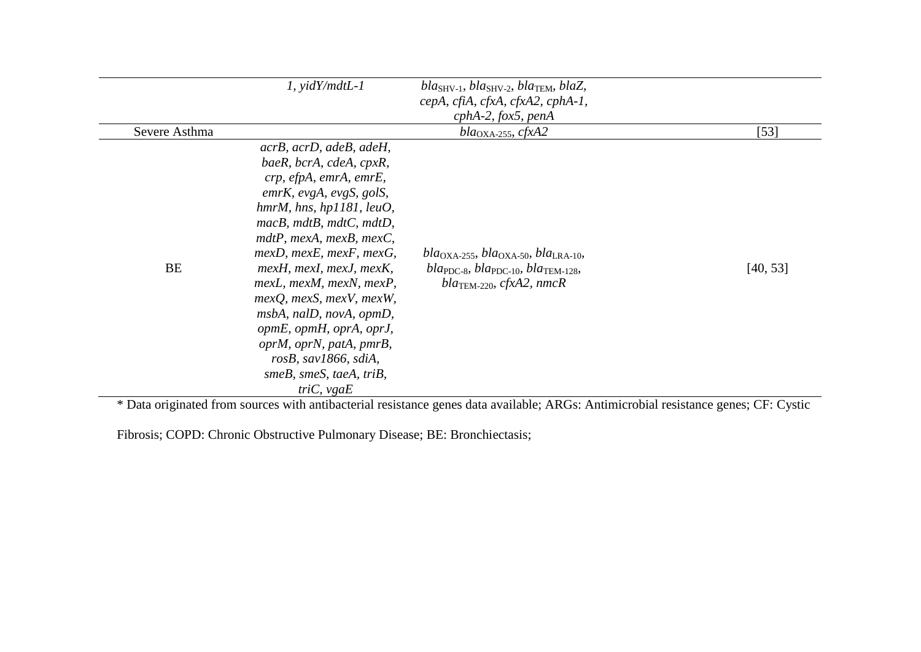|                                                       | $1, \text{yidY}/\text{mdt}$                                                                                                                                                                                                                                                                                                                                                                                                                                                                                                                           | $bla_{SHV-1}$ , $bla_{SHV-2}$ , $bla_{TEM}$ , $blaZ$ ,<br>cepA, cfiA, cfxA, cfxA2, cphA-1,<br>$cphA-2,$ fox5, penA                                                                                                                                                                                          |                       |
|-------------------------------------------------------|-------------------------------------------------------------------------------------------------------------------------------------------------------------------------------------------------------------------------------------------------------------------------------------------------------------------------------------------------------------------------------------------------------------------------------------------------------------------------------------------------------------------------------------------------------|-------------------------------------------------------------------------------------------------------------------------------------------------------------------------------------------------------------------------------------------------------------------------------------------------------------|-----------------------|
| Severe Asthma                                         |                                                                                                                                                                                                                                                                                                                                                                                                                                                                                                                                                       | $bla_{\rm OXA-255}$ , cfxA2                                                                                                                                                                                                                                                                                 | $[53]$                |
| <b>BE</b><br>$\triangle$ Decomposition of $\triangle$ | acrB, acrD, adeB, adeH,<br>baeR, bcrA, cdeA, cpxR,<br>crp, efpA, emrA, emrE,<br>$emrK$ , evgA, evgS, golS,<br>hmrM, hns, hpl181, leuO,<br>$macB$ , $mdtB$ , $mdtC$ , $mdtD$ ,<br>$mdtP$ , mexA, mexB, mexC,<br>$mexD$ , mexE, mexF, mexG,<br>mexH, mexI, mexJ, mexK,<br>mexL, mexM, mexN, mexP,<br>$mexQ$ , $mexS$ , $mexV$ , $mexW$ ,<br>msbA, nalD, novA, opmD,<br>opmE, opmH, oprA, oprJ,<br>oprM, oprN, patA, pmrB,<br>rosB, sav1866, sdiA,<br>$smeB$ , smeS, taeA, triB,<br>triC, vgaE<br>المستحدث والمستنقذ والمتحدث والأغام والمتحالة والمتألف | $bla_{\rm OXA-255}$ , $bla_{\rm OXA-50}$ , $bla_{\rm IRA-10}$<br>$bla_{PDC-8}$ , $bla_{PDC-10}$ , $bla_{TEM-128}$ ,<br>$bla_{\text{TEM-220}}$ , cfxA2, nmcR<br>$\mathbf{A}$ and $\mathbf{A}$ are independent of $\mathbf{A}$ $\mathbf{D}$ and $\mathbf{A}$ and $\mathbf{A}$ are independent of $\mathbf{A}$ | [40, 53]<br>$CD.$ $C$ |

\* Data originated from sources with antibacterial resistance genes data available; ARGs: Antimicrobial resistance genes; CF: Cystic

Fibrosis; COPD: Chronic Obstructive Pulmonary Disease; BE: Bronchiectasis;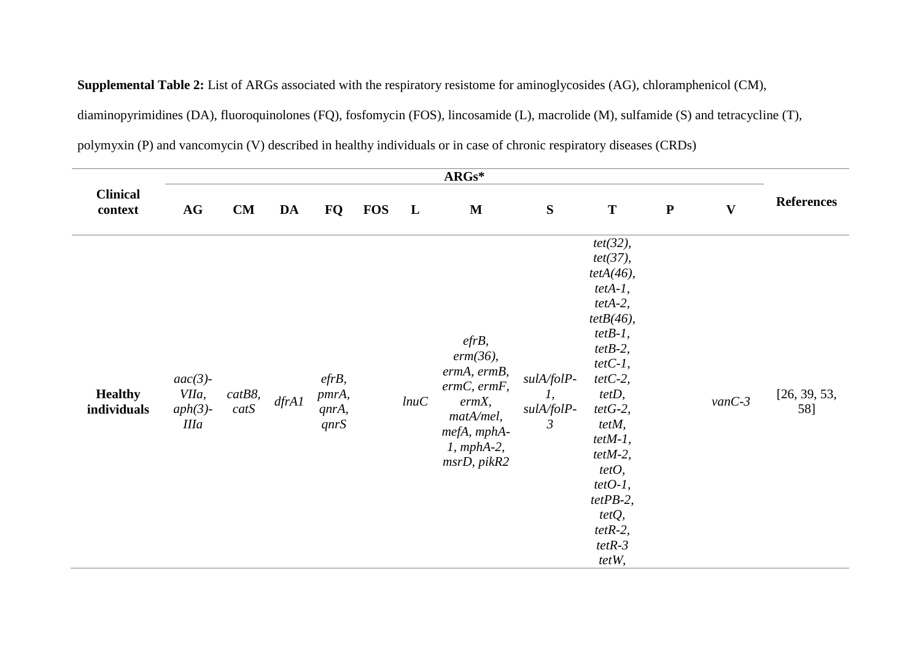**Supplemental Table 2:** List of ARGs associated with the respiratory resistome for aminoglycosides (AG), chloramphenicol (CM),

diaminopyrimidines (DA), fluoroquinolones (FQ), fosfomycin (FOS), lincosamide (L), macrolide (M), sulfamide (S) and tetracycline (T),

polymyxin (P) and vancomycin (V) described in healthy individuals or in case of chronic respiratory diseases (CRDs)

| $\mathbf{ARGs}^*$             |                                                  |                   |       |                                    |            |              |                                                                                                                                |                                                              |                                                                                                                                                                                                                                                                                                |             |              |                     |
|-------------------------------|--------------------------------------------------|-------------------|-------|------------------------------------|------------|--------------|--------------------------------------------------------------------------------------------------------------------------------|--------------------------------------------------------------|------------------------------------------------------------------------------------------------------------------------------------------------------------------------------------------------------------------------------------------------------------------------------------------------|-------------|--------------|---------------------|
| <b>Clinical</b><br>context    | AG                                               | CM                | DA    | FQ                                 | <b>FOS</b> | $\mathbf{L}$ | M                                                                                                                              | ${\bf S}$                                                    | T                                                                                                                                                                                                                                                                                              | $\mathbf P$ | $\mathbf{V}$ | <b>References</b>   |
| <b>Healthy</b><br>individuals | $aac(3)$ -<br>VIIa,<br>$aph(3)$ -<br><b>IIIa</b> | $catB8$ ,<br>catS | dfrA1 | $efrB$ ,<br>pmrA,<br>qnrA,<br>qnrS |            | lnuc         | $efrB$ ,<br>$erm(36)$ ,<br>ermA, ermB,<br>$ermC,$ $ermF,$<br>ermX,<br>matA/mel,<br>mefA, mphA-<br>$1$ , mphA-2,<br>msrD, pikR2 | sulA/folP-<br>$\mathcal{I},$<br>sulA/folP-<br>$\mathfrak{Z}$ | $tet(32)$ ,<br>$tet(37)$ ,<br>$tetA(46)$ ,<br>$tetA-I,$<br>$tetA-2$ ,<br>$tetB(46)$ ,<br>$tetB-I$ ,<br>$tetB-2$ ,<br>$tetC-I$ ,<br>$tetC-2$ ,<br>tetD,<br>$tetG-2$ ,<br>tetM,<br>$tetM-1$ ,<br>$tet M-2$ ,<br>tetO,<br>$tetO-I$ ,<br>$tetPB-2,$<br>$tetQ$ ,<br>$tetR-2$ ,<br>$tetR-3$<br>tetW, |             | $vanC-3$     | [26, 39, 53,<br>58] |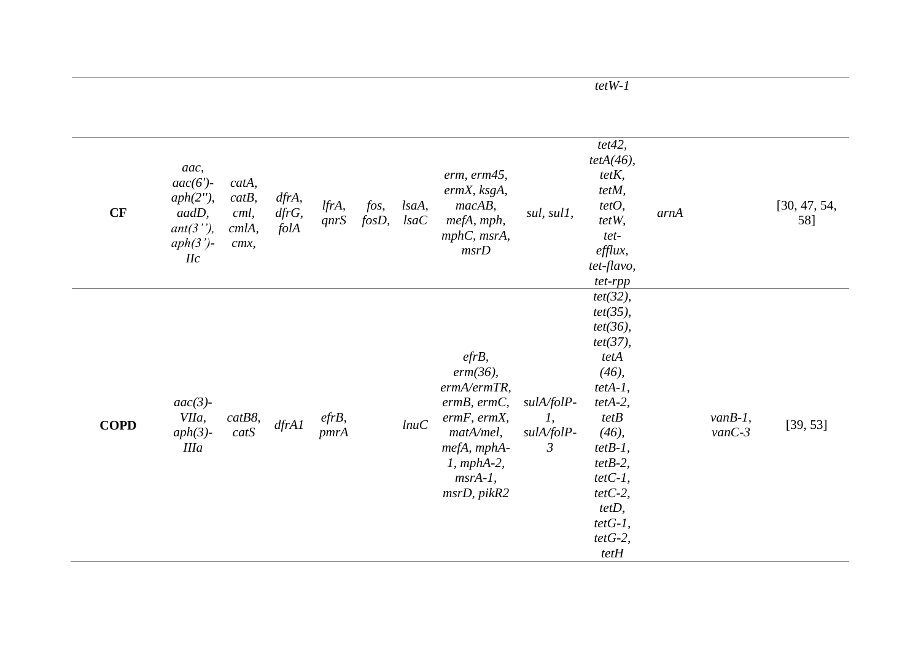| CF          | aac,<br>$aac(6')$ -<br>$aph(2'')$ ,<br>aadD,<br>$ant(3'')$ ,<br>$aph(3')$ -<br>$I\!I\!c$ | catA,<br>catB,<br>cml,<br>cmlA,<br>cmx, | dfrA,<br>dfrG,<br>folA | lfrA,<br>qnrS    | fos,<br>$f$ osD, | lsaA,<br>IsaC | erm, erm45,<br>ermX, ksgA,<br>$macAB$ ,<br>mefA, mph,<br>mphC, msrA,<br>msrD                                                                                               | sul, sul1,                                       | tet42,<br>$tetA(46)$ ,<br>$tetK$ ,<br>tetM,<br>tetO,<br>tetW,<br>tet-<br>efflux,<br>tet-flavo,<br>tet-rpp                                                                                                                          | arnA |                        | [30, 47, 54,<br>58] |
|-------------|------------------------------------------------------------------------------------------|-----------------------------------------|------------------------|------------------|------------------|---------------|----------------------------------------------------------------------------------------------------------------------------------------------------------------------------|--------------------------------------------------|------------------------------------------------------------------------------------------------------------------------------------------------------------------------------------------------------------------------------------|------|------------------------|---------------------|
| <b>COPD</b> | $aac(3)$ -<br>VIIa,<br>$aph(3)$ -<br><b>IIIa</b>                                         | $catB8$ ,<br>catS                       | dfrA1                  | $efrB$ ,<br>pmrA |                  | lnuc          | $efrB$ ,<br>$erm(36)$ ,<br>ermA/ermTR,<br>$ermB, \, \textit{ermC},$<br>$ermF, \, \textit{ermX},$<br>matA/mel,<br>mefA, mphA-<br>$1$ , mphA-2,<br>$msrA-1$ ,<br>msrD, pikR2 | sulA/folP-<br>I,<br>sulA/folP-<br>$\mathfrak{Z}$ | $tet(32)$ ,<br>$tet(35)$ ,<br>$tet(36)$ ,<br>$tet(37)$ ,<br>tetA<br>$(46)$ ,<br>$tetA-I,$<br>$tetA-2,$<br>tetB<br>$(46)$ ,<br>$tetB-1$ ,<br>$tetB-2$ ,<br>$tetC-I$ ,<br>$tetC-2$ ,<br>$tetD$ ,<br>$tetG-I$ ,<br>$tetG-2$ ,<br>tetH |      | $vanB-1$ ,<br>$vanC-3$ | [39, 53]            |

*tetW-1*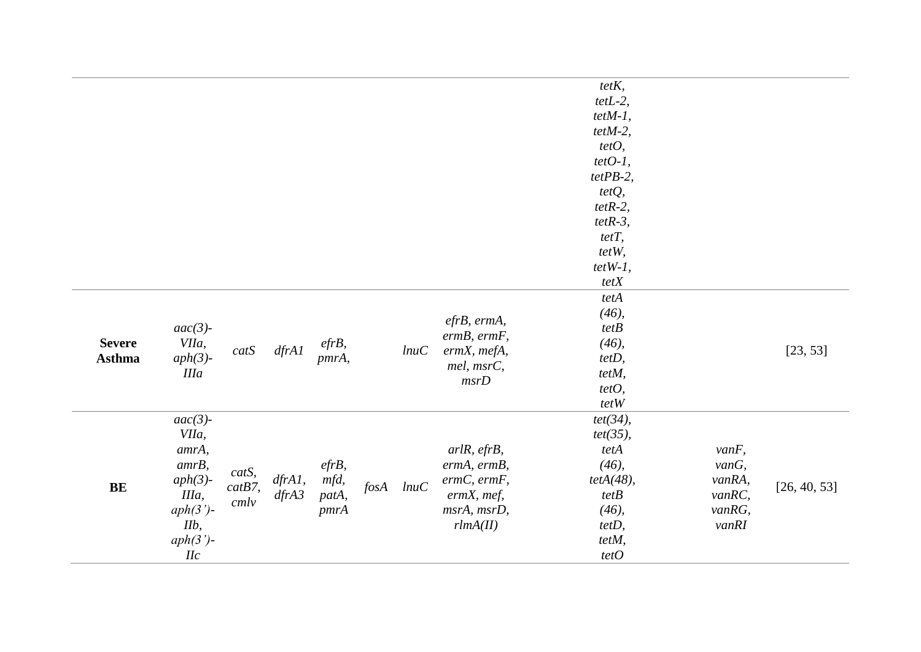|               |             |           |           |          |            |      |                                | $tetK$ ,     |          |              |
|---------------|-------------|-----------|-----------|----------|------------|------|--------------------------------|--------------|----------|--------------|
|               |             |           |           |          |            |      |                                | $tetL-2$ ,   |          |              |
|               |             |           |           |          |            |      |                                | $tetM-1$ ,   |          |              |
|               |             |           |           |          |            |      |                                | $tet M-2$ ,  |          |              |
|               |             |           |           |          |            |      |                                | tetO,        |          |              |
|               |             |           |           |          |            |      |                                | $tetO-I$ ,   |          |              |
|               |             |           |           |          |            |      |                                | $tetPB-2,$   |          |              |
|               |             |           |           |          |            |      |                                | tetQ,        |          |              |
|               |             |           |           |          |            |      |                                | $tetR-2$ ,   |          |              |
|               |             |           |           |          |            |      |                                | $tetR-3$ ,   |          |              |
|               |             |           |           |          |            |      |                                | $tetT$ ,     |          |              |
|               |             |           |           |          |            |      |                                | tetW,        |          |              |
|               |             |           |           |          |            |      |                                | $tetW-I$ ,   |          |              |
|               |             |           |           |          |            |      |                                | $tetX$       |          |              |
|               |             |           |           |          |            |      |                                | tetA         |          |              |
|               |             |           |           |          |            |      |                                | $(46)$ ,     |          |              |
|               | $aac(3)$ -  |           |           |          |            |      | efrB, ermA,                    | tetB         |          |              |
| <b>Severe</b> | VIIa,       | catS      |           | $efrB$ , |            | lnuc | $ermB,$ $ermF,$<br>ermX, mefA, | $(46)$ ,     |          |              |
| <b>Asthma</b> | $aph(3)$ -  |           | dfrA1     | pmrA,    |            |      | mel, msrC,                     | tetD,        |          | [23, 53]     |
|               | <b>IIIa</b> |           |           |          |            |      | msrD                           | tetM,        |          |              |
|               |             |           |           |          |            |      |                                | tetO,        |          |              |
|               |             |           |           |          |            |      |                                | tetW         |          |              |
|               | $aac(3)$ -  |           |           |          |            |      |                                | $tet(34)$ ,  |          |              |
|               | VIIa,       |           |           |          |            |      |                                | $tet(35)$ ,  |          |              |
|               | amrA,       |           |           |          |            |      | arlR, efrB,                    | tetA         | $vanF$ , |              |
|               | $amrB$ ,    | catS,     |           | $efrB$ , |            |      | ermA, ermB,                    | $(46)$ ,     | $vanG$ , |              |
| $\mathbf{BE}$ | $aph(3)$ -  | $catB7$ , | $dfrAI$ , | mfd,     | $f$ os $A$ | lnuc | $ermC,$ $ermF,$                | $tetA(48)$ , | vanRA,   | [26, 40, 53] |
|               | IIIa,       | cmlv      | dfrA3     | patA,    |            |      | $ermX$ , mef,                  | tetB         | vanRC,   |              |
|               | $aph(3')$ - |           |           | pmrA     |            |      | msrA, msrD,                    | $(46)$ ,     | vanRG,   |              |
|               | $IIb$ ,     |           |           |          |            |      | rlmA(II)                       | tetD,        | vanRI    |              |
|               | $aph(3')$ - |           |           |          |            |      |                                | tetM,        |          |              |
|               | $I\!I\!C$   |           |           |          |            |      |                                | tetO         |          |              |